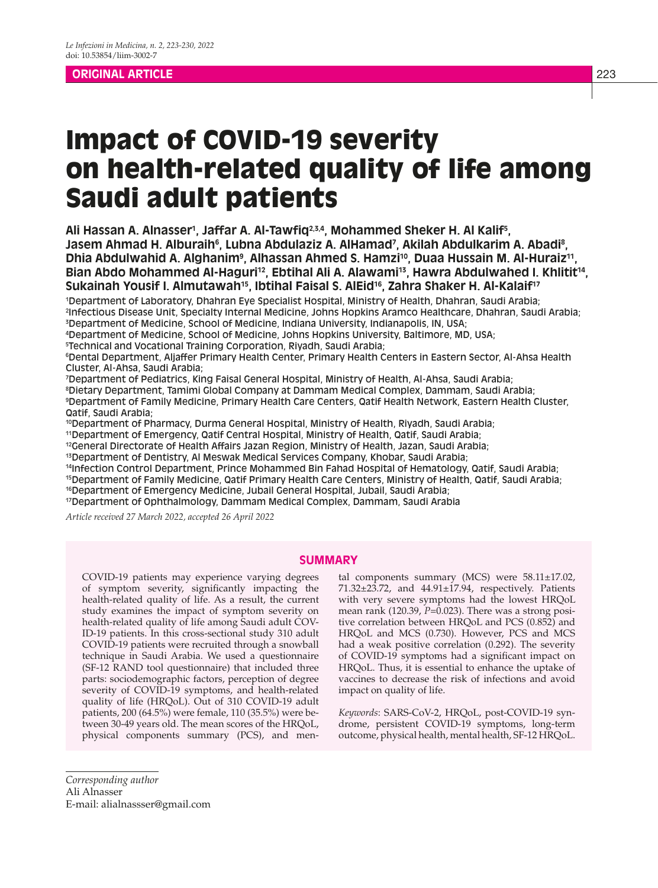## **ORIGINAL ARTICLE** 223

# Impact of COVID-19 severity on health-related quality of life among Saudi adult patients

Ali Hassan A. Alnasser', Jaffar A. Al-Tawfiq<sup>2,3,4</sup>, Mohammed Sheker H. Al Kalif<sup>s</sup>, Jasem Ahmad H. Alburaih<sup>6</sup>, Lubna Abdulaziz A. AlHamad<sup>7</sup>, Akilah Abdulkarim A. Abadi<sup>8</sup>, Dhia Abdulwahid A. Alghanim<sup>9</sup>, Alhassan Ahmed S. Hamzi<sup>10</sup>, Duaa Hussain M. Al-Huraiz<sup>11</sup>, Bian Abdo Mohammed Al-Haguri<sup>12</sup>, Ebtihal Ali A. Alawami<sup>13</sup>, Hawra Abdulwahed I. Khlitit<sup>14</sup>, Sukainah Yousif I. Almutawah<sup>15</sup>, Ibtihal Faisal S. AlEid<sup>16</sup>, Zahra Shaker H. Al-Kalaif<sup>17</sup>

1 Department of Laboratory, Dhahran Eye Specialist Hospital, Ministry of Health, Dhahran, Saudi Arabia; 2 Infectious Disease Unit, Specialty Internal Medicine, Johns Hopkins Aramco Healthcare, Dhahran, Saudi Arabia; 3 Department of Medicine, School of Medicine, Indiana University, Indianapolis, IN, USA;

4 Department of Medicine, School of Medicine, Johns Hopkins University, Baltimore, MD, USA;

5 Technical and Vocational Training Corporation, Riyadh, Saudi Arabia;

6 Dental Department, Aljaffer Primary Health Center, Primary Health Centers in Eastern Sector, Al-Ahsa Health Cluster, Al-Ahsa, Saudi Arabia;

7 Department of Pediatrics, King Faisal General Hospital, Ministry of Health, Al-Ahsa, Saudi Arabia;

8 Dietary Department, Tamimi Global Company at Dammam Medical Complex, Dammam, Saudi Arabia; 9 Department of Family Medicine, Primary Health Care Centers, Qatif Health Network, Eastern Health Cluster, Qatif, Saudi Arabia;

10Department of Pharmacy, Durma General Hospital, Ministry of Health, Riyadh, Saudi Arabia;

11Department of Emergency, Qatif Central Hospital, Ministry of Health, Qatif, Saudi Arabia;

<sup>12</sup>General Directorate of Health Affairs Jazan Region, Ministry of Health, Jazan, Saudi Arabia;

13Department of Dentistry, Al Meswak Medical Services Company, Khobar, Saudi Arabia;

14Infection Control Department, Prince Mohammed Bin Fahad Hospital of Hematology, Qatif, Saudi Arabia; 15Department of Family Medicine, Qatif Primary Health Care Centers, Ministry of Health, Qatif, Saudi Arabia;

<sup>16</sup>Department of Emergency Medicine, Jubail General Hospital, Jubail, Saudi Arabia;

17Department of Ophthalmology, Dammam Medical Complex, Dammam, Saudi Arabia

*Article received 27 March 2022, accepted 26 April 2022*

## **SUMMARY**

COVID-19 patients may experience varying degrees of symptom severity, significantly impacting the health-related quality of life. As a result, the current study examines the impact of symptom severity on health-related quality of life among Saudi adult COV-ID-19 patients. In this cross-sectional study 310 adult COVID-19 patients were recruited through a snowball technique in Saudi Arabia. We used a questionnaire (SF-12 RAND tool questionnaire) that included three parts: sociodemographic factors, perception of degree severity of COVID-19 symptoms, and health-related quality of life (HRQoL). Out of 310 COVID-19 adult patients, 200 (64.5%) were female, 110 (35.5%) were between 30-49 years old. The mean scores of the HRQoL, physical components summary (PCS), and men-

tal components summary (MCS) were  $58.11 \pm 17.02$ , 71.32±23.72, and 44.91±17.94, respectively. Patients with very severe symptoms had the lowest HRQoL mean rank  $(120.39, P=0.023)$ . There was a strong positive correlation between HRQoL and PCS (0.852) and HRQoL and MCS (0.730). However, PCS and MCS had a weak positive correlation (0.292). The severity of COVID-19 symptoms had a significant impact on HRQoL. Thus, it is essential to enhance the uptake of vaccines to decrease the risk of infections and avoid impact on quality of life.

*Keywords*: SARS-CoV-2, HRQoL, post-COVID-19 syndrome, persistent COVID-19 symptoms, long-term outcome, physical health, mental health, SF-12 HRQoL.

*Corresponding author* Ali Alnasser E-mail: alialnassser@gmail.com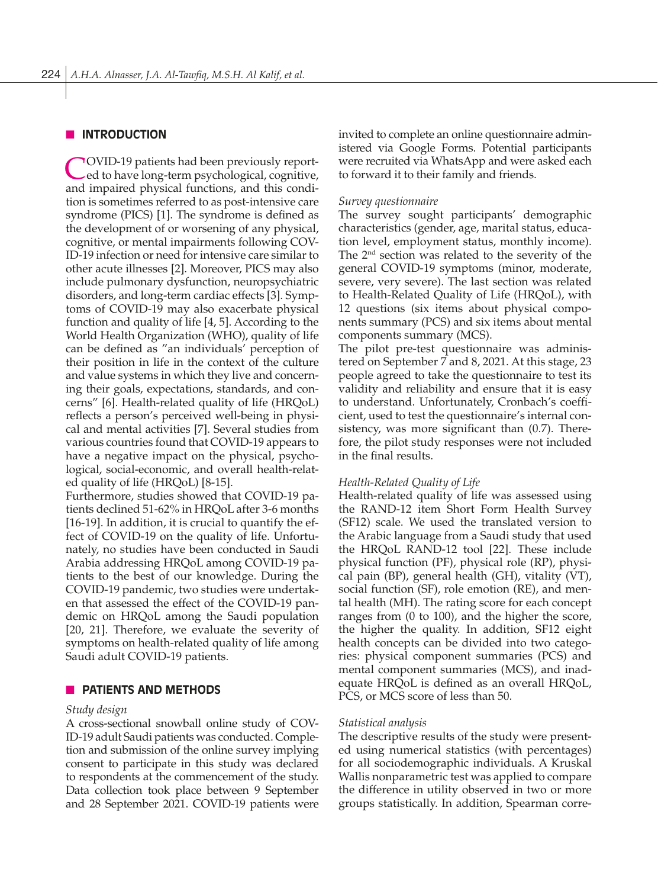## **N** INTRODUCTION

COVID-19 patients had been previously report-ed to have long-term psychological, cognitive, and impaired physical functions, and this condition is sometimes referred to as post-intensive care syndrome (PICS) [1]. The syndrome is defined as the development of or worsening of any physical, cognitive, or mental impairments following COV-ID-19 infection or need for intensive care similar to other acute illnesses [2]. Moreover, PICS may also include pulmonary dysfunction, neuropsychiatric disorders, and long-term cardiac effects [3]. Symptoms of COVID-19 may also exacerbate physical function and quality of life [4, 5]. According to the World Health Organization (WHO), quality of life can be defined as "an individuals' perception of their position in life in the context of the culture and value systems in which they live and concerning their goals, expectations, standards, and concerns" [6]. Health-related quality of life (HRQoL) reflects a person's perceived well-being in physical and mental activities [7]. Several studies from various countries found that COVID-19 appears to have a negative impact on the physical, psychological, social-economic, and overall health-related quality of life (HRQoL) [8-15].

Furthermore, studies showed that COVID-19 patients declined 51-62% in HRQoL after 3-6 months [16-19]. In addition, it is crucial to quantify the effect of COVID-19 on the quality of life. Unfortunately, no studies have been conducted in Saudi Arabia addressing HRQoL among COVID-19 patients to the best of our knowledge. During the COVID-19 pandemic, two studies were undertaken that assessed the effect of the COVID-19 pandemic on HRQoL among the Saudi population [20, 21]. Therefore, we evaluate the severity of symptoms on health-related quality of life among Saudi adult COVID-19 patients.

## **NO PATIENTS AND METHODS**

#### *Study design*

A cross-sectional snowball online study of COV-ID-19 adult Saudi patients was conducted. Completion and submission of the online survey implying consent to participate in this study was declared to respondents at the commencement of the study. Data collection took place between 9 September and 28 September 2021. COVID-19 patients were

invited to complete an online questionnaire administered via Google Forms. Potential participants were recruited via WhatsApp and were asked each to forward it to their family and friends.

#### *Survey questionnaire*

The survey sought participants' demographic characteristics (gender, age, marital status, education level, employment status, monthly income). The  $2<sup>nd</sup>$  section was related to the severity of the general COVID-19 symptoms (minor, moderate, severe, very severe). The last section was related to Health-Related Quality of Life (HRQoL), with 12 questions (six items about physical components summary (PCS) and six items about mental components summary (MCS).

The pilot pre-test questionnaire was administered on September 7 and 8, 2021. At this stage, 23 people agreed to take the questionnaire to test its validity and reliability and ensure that it is easy to understand. Unfortunately, Cronbach's coefficient, used to test the questionnaire's internal consistency, was more significant than (0.7). Therefore, the pilot study responses were not included in the final results.

#### *Health-Related Quality of Life*

Health-related quality of life was assessed using the RAND-12 item Short Form Health Survey (SF12) scale. We used the translated version to the Arabic language from a Saudi study that used the HRQoL RAND-12 tool [22]. These include physical function (PF), physical role (RP), physical pain (BP), general health (GH), vitality (VT), social function (SF), role emotion (RE), and mental health (MH). The rating score for each concept ranges from (0 to 100), and the higher the score, the higher the quality. In addition, SF12 eight health concepts can be divided into two categories: physical component summaries (PCS) and mental component summaries (MCS), and inadequate HRQoL is defined as an overall HRQoL, PCS, or MCS score of less than 50.

#### *Statistical analysis*

The descriptive results of the study were presented using numerical statistics (with percentages) for all sociodemographic individuals. A Kruskal Wallis nonparametric test was applied to compare the difference in utility observed in two or more groups statistically. In addition, Spearman corre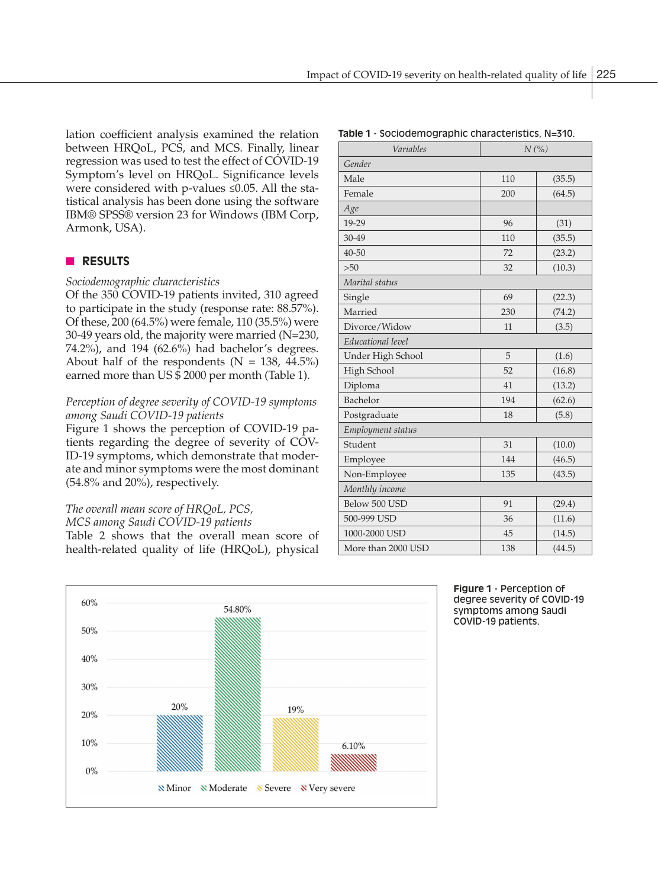lation coefficient analysis examined the relation between HRQoL, PCS, and MCS. Finally, linear regression was used to test the effect of COVID-19 Symptom's level on HRQoL. Significance levels were considered with p-values ≤0.05. All the statistical analysis has been done using the software IBM® SPSS® version 23 for Windows (IBM Corp, Armonk, USA).

## **n RESULTS**

#### *Sociodemographic characteristics*

Of the 350 COVID-19 patients invited, 310 agreed to participate in the study (response rate: 88.57%). Of these, 200 (64.5%) were female, 110 (35.5%) were 30-49 years old, the majority were married (N=230, 74.2%), and 194 (62.6%) had bachelor's degrees. About half of the respondents ( $N = 138, 44.5\%$ ) earned more than US \$ 2000 per month (Table 1).

## *Perception of degree severity of COVID-19 symptoms among Saudi COVID-19 patients*

Figure 1 shows the perception of COVID-19 patients regarding the degree of severity of COV-ID-19 symptoms, which demonstrate that moderate and minor symptoms were the most dominant (54.8% and 20%), respectively.

# *The overall mean score of HRQoL, PCS,*

*MCS among Saudi COVID-19 patients* Table 2 shows that the overall mean score of health-related quality of life (HRQoL), physical

| N(%<br>Variables   |     |        |  |  |
|--------------------|-----|--------|--|--|
| Gender             |     |        |  |  |
| Male               | 110 | (35.5) |  |  |
| Female             | 200 | (64.5) |  |  |
| Age                |     |        |  |  |
| 19-29              | 96  | (31)   |  |  |
| 30-49              | 110 | (35.5) |  |  |
| $40 - 50$          | 72  | (23.2) |  |  |
| >50                | 32  | (10.3) |  |  |
| Marital status     |     |        |  |  |
| Single             | 69  | (22.3) |  |  |
| Married            | 230 | (74.2) |  |  |
| Divorce/Widow      | 11  | (3.5)  |  |  |
| Educational level  |     |        |  |  |
| Under High School  | 5   | (1.6)  |  |  |
| High School        | 52  | (16.8) |  |  |
| Diploma            | 41  | (13.2) |  |  |
| Bachelor           | 194 | (62.6) |  |  |
| Postgraduate       | 18  | (5.8)  |  |  |
| Employment status  |     |        |  |  |
| Student            | 31  | (10.0) |  |  |
| Employee           | 144 | (46.5) |  |  |
| Non-Employee       | 135 | (43.5) |  |  |
| Monthly income     |     |        |  |  |
| Below 500 USD      | 91  | (29.4) |  |  |
| 500-999 USD        | 36  | (11.6) |  |  |
| 1000-2000 USD      | 45  | (14.5) |  |  |
| More than 2000 USD | 138 | (44.5) |  |  |

**Table 1** - Sociodemographic characteristics, N=310.

**Figure 1** - Perception of degree severity of COVID-19 symptoms among Saudi COVID-19 patients.

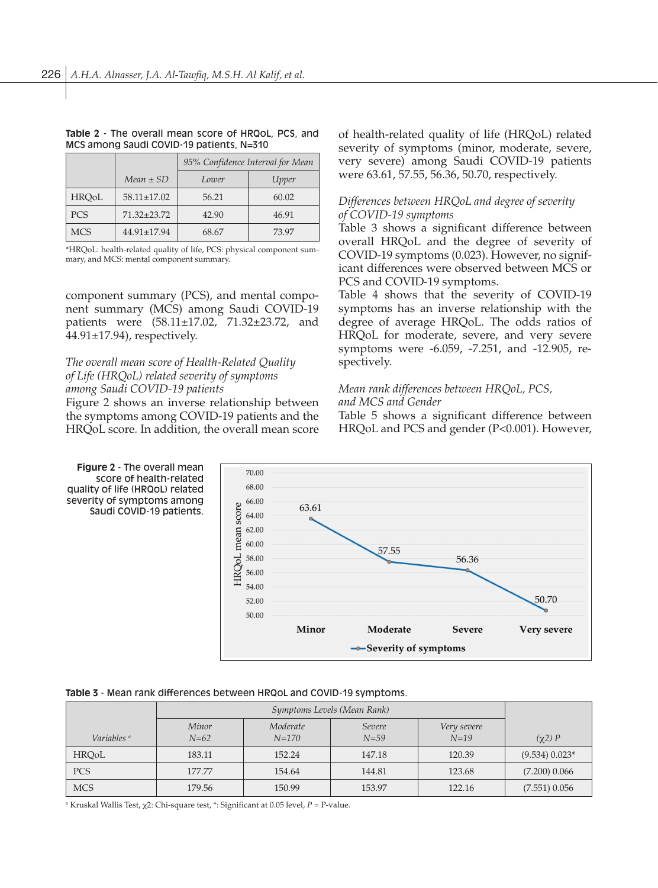#### **Table 2** - The overall mean score of HRQoL, PCS, and MCS among Saudi COVID-19 patients, N=310

|              |                   | 95% Confidence Interval for Mean |       |  |
|--------------|-------------------|----------------------------------|-------|--|
|              | $Mean \pm SD$     | Lower                            | Upper |  |
| <b>HROoL</b> | $58.11 \pm 17.02$ | 56.21                            | 60.02 |  |
| <b>PCS</b>   | $71.32 + 23.72$   | 42.90                            | 46.91 |  |
| <b>MCS</b>   | $44.91 \pm 17.94$ | 68.67                            | 73.97 |  |

\*HRQoL: health-related quality of life, PCS: physical component summary, and MCS: mental component summary.

component summary (PCS), and mental component summary (MCS) among Saudi COVID-19 patients were (58.11±17.02, 71.32±23.72, and 44.91±17.94), respectively.

## *The overall mean score of Health-Related Quality of Life (HRQoL) related severity of symptoms among Saudi COVID-19 patients*

Figure 2 shows an inverse relationship between the symptoms among COVID-19 patients and the HRQoL score. In addition, the overall mean score of health-related quality of life (HRQoL) related severity of symptoms (minor, moderate, severe, very severe) among Saudi COVID-19 patients were 63.61, 57.55, 56.36, 50.70, respectively.

## *Differences between HRQoL and degree of severity of COVID-19 symptoms*

Table 3 shows a significant difference between overall HRQoL and the degree of severity of COVID-19 symptoms (0.023). However, no significant differences were observed between MCS or PCS and COVID-19 symptoms.

Table 4 shows that the severity of COVID-19 symptoms has an inverse relationship with the degree of average HRQoL. The odds ratios of HRQoL for moderate, severe, and very severe symptoms were -6.059, -7.251, and -12.905, respectively.

# *Mean rank differences between HRQoL, PCS,*

## *and MCS and Gender*

Table 5 shows a significant difference between HRQoL and PCS and gender (P<0.001). However,



#### **Table 3** - Mean rank differences between HRQoL and COVID-19 symptoms.

| Variables <sup>a</sup> | Minor<br>$N = 62$ | Moderate<br>$N = 170$ | Severe<br>$N=59$ | Very severe<br>$N = 19$ | $(\chi 2)$ P     |
|------------------------|-------------------|-----------------------|------------------|-------------------------|------------------|
| <b>HROoL</b>           | 183.11            | 152.24                | 147.18           | 120.39                  | $(9.534) 0.023*$ |
| <b>PCS</b>             | 177.77            | 154.64                | 144.81           | 123.68                  | $(7.200)$ 0.066  |
| <b>MCS</b>             | 179.56            | 150.99                | 153.97           | 122.16                  | $(7.551)$ 0.056  |

a Kruskal Wallis Test, χ2: Chi-square test, \*: Significant at 0.05 level, *P* = P-value.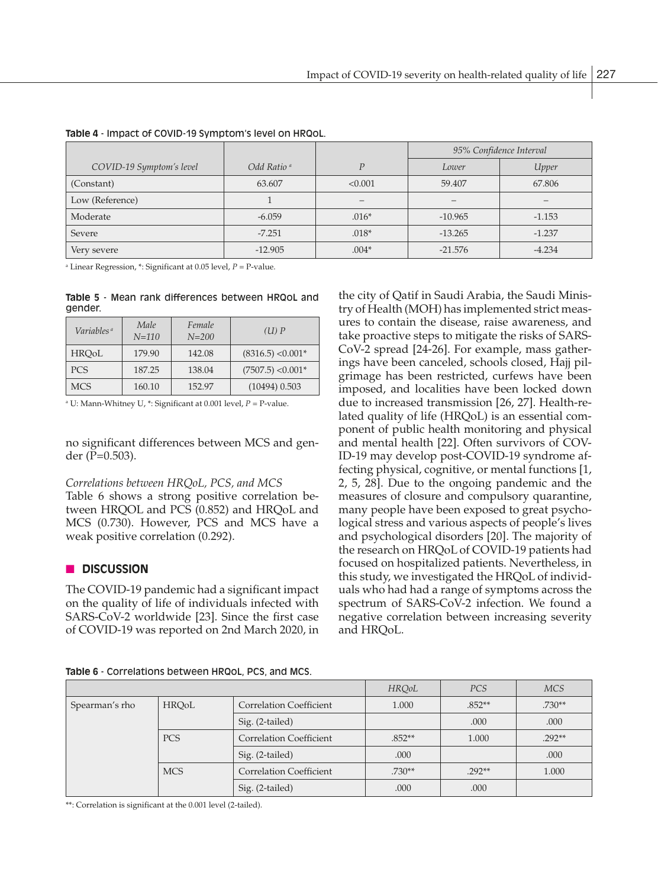|                          |                        |                | 95% Confidence Interval |          |
|--------------------------|------------------------|----------------|-------------------------|----------|
| COVID-19 Symptom's level | Odd Ratio <sup>a</sup> | $\overline{D}$ | Lower                   | Upper    |
| (Constant)               | 63.607                 | < 0.001        | 59.407                  | 67.806   |
| Low (Reference)          |                        |                |                         |          |
| Moderate                 | $-6.059$               | $.016*$        | $-10.965$               | $-1.153$ |
| Severe                   | $-7.251$               | $.018*$        | $-13.265$               | $-1.237$ |
| Very severe              | $-12.905$              | $.004*$        | $-21.576$               | $-4.234$ |

**Table 4** - Impact of COVID-19 Symptom's level on HRQoL.

a Linear Regression, \*: Significant at 0.05 level, *P* = P-value.

**Table 5** - Mean rank differences between HRQoL and gender.

| Variables <sup>a</sup> | Male<br>$N = 110$ | Female<br>$N = 200$ | $(II)$ $P$          |
|------------------------|-------------------|---------------------|---------------------|
| <b>HROoL</b>           | 179.90            | 142.08              | $(8316.5)$ < 0.001* |
| <b>PCS</b>             | 187.25            | 138.04              | $(7507.5)$ < 0.001* |
| <b>MCS</b>             | 160.10            | 152.97              | $(10494)$ 0.503     |

a U: Mann-Whitney U, \*: Significant at 0.001 level, *P* = P-value.

no significant differences between MCS and gender (P=0.503).

## *Correlations between HRQoL, PCS, and MCS*

Table 6 shows a strong positive correlation between HRQOL and PCS (0.852) and HRQoL and MCS (0.730). However, PCS and MCS have a weak positive correlation (0.292).

## **n** DISCUSSION

The COVID-19 pandemic had a significant impact on the quality of life of individuals infected with SARS-CoV-2 worldwide [23]. Since the first case of COVID-19 was reported on 2nd March 2020, in the city of Qatif in Saudi Arabia, the Saudi Ministry of Health (MOH) has implemented strict measures to contain the disease, raise awareness, and take proactive steps to mitigate the risks of SARS-CoV-2 spread [24-26]. For example, mass gatherings have been canceled, schools closed, Hajj pilgrimage has been restricted, curfews have been imposed, and localities have been locked down due to increased transmission [26, 27]. Health-related quality of life (HRQoL) is an essential component of public health monitoring and physical and mental health [22]. Often survivors of COV-ID-19 may develop post-COVID-19 syndrome affecting physical, cognitive, or mental functions [1, 2, 5, 28]. Due to the ongoing pandemic and the measures of closure and compulsory quarantine, many people have been exposed to great psychological stress and various aspects of people's lives and psychological disorders [20]. The majority of the research on HRQoL of COVID-19 patients had focused on hospitalized patients. Nevertheless, in this study, we investigated the HRQoL of individuals who had had a range of symptoms across the spectrum of SARS-CoV-2 infection. We found a negative correlation between increasing severity and HRQoL.

|  | <b>Table 6 - Correlations between HRQOL, PCS, and MCS.</b> |  |
|--|------------------------------------------------------------|--|
|  |                                                            |  |

|                |              |                                | <b>HROoL</b> | PCS      | <b>MCS</b> |
|----------------|--------------|--------------------------------|--------------|----------|------------|
| Spearman's rho | <b>HRQoL</b> | <b>Correlation Coefficient</b> | 1.000        | $.852**$ | $.730**$   |
|                |              | Sig. (2-tailed)                |              | .000     | .000       |
|                | <b>PCS</b>   | <b>Correlation Coefficient</b> | $.852**$     | 1.000    | $.292**$   |
|                |              | Sig. (2-tailed)                | .000         |          | .000       |
|                | <b>MCS</b>   | <b>Correlation Coefficient</b> | $.730**$     | $.292**$ | 1.000      |
|                |              | Sig. (2-tailed)                | .000         | .000     |            |

\*\*: Correlation is significant at the 0.001 level (2-tailed).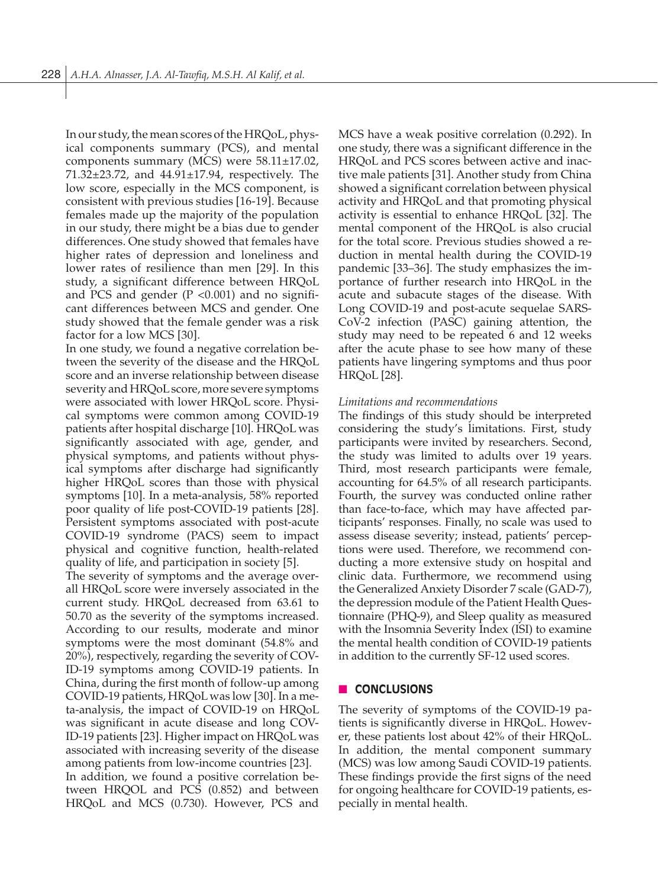In our study, the mean scores of the HRQoL, physical components summary (PCS), and mental components summary (MCS) were 58.11±17.02, 71.32±23.72, and 44.91±17.94, respectively. The low score, especially in the MCS component, is consistent with previous studies [16-19]. Because females made up the majority of the population in our study, there might be a bias due to gender differences. One study showed that females have higher rates of depression and loneliness and lower rates of resilience than men [29]. In this study, a significant difference between HRQoL and PCS and gender  $(P \lt 0.001)$  and no significant differences between MCS and gender. One study showed that the female gender was a risk factor for a low MCS [30].

In one study, we found a negative correlation between the severity of the disease and the HRQoL score and an inverse relationship between disease severity and HRQoL score, more severe symptoms were associated with lower HRQoL score. Physical symptoms were common among COVID-19 patients after hospital discharge [10]. HRQoL was significantly associated with age, gender, and physical symptoms, and patients without physical symptoms after discharge had significantly higher HRQoL scores than those with physical symptoms [10]. In a meta-analysis, 58% reported poor quality of life post-COVID-19 patients [28]. Persistent symptoms associated with post-acute COVID-19 syndrome (PACS) seem to impact physical and cognitive function, health-related quality of life, and participation in society [5].

The severity of symptoms and the average overall HRQoL score were inversely associated in the current study. HRQoL decreased from 63.61 to 50.70 as the severity of the symptoms increased. According to our results, moderate and minor symptoms were the most dominant (54.8% and 20%), respectively, regarding the severity of COV-ID-19 symptoms among COVID-19 patients. In China, during the first month of follow-up among COVID-19 patients, HRQoL was low [30]. In a meta-analysis, the impact of COVID-19 on HRQoL was significant in acute disease and long COV-ID-19 patients [23]. Higher impact on HRQoL was associated with increasing severity of the disease among patients from low-income countries [23].

In addition, we found a positive correlation between HRQOL and PCS (0.852) and between HRQoL and MCS (0.730). However, PCS and MCS have a weak positive correlation (0.292). In one study, there was a significant difference in the HRQoL and PCS scores between active and inactive male patients [31]. Another study from China showed a significant correlation between physical activity and HRQoL and that promoting physical activity is essential to enhance HRQoL [32]. The mental component of the HRQoL is also crucial for the total score. Previous studies showed a reduction in mental health during the COVID-19 pandemic [33–36]. The study emphasizes the importance of further research into HRQoL in the acute and subacute stages of the disease. With Long COVID-19 and post-acute sequelae SARS-CoV-2 infection (PASC) gaining attention, the study may need to be repeated 6 and 12 weeks after the acute phase to see how many of these patients have lingering symptoms and thus poor HRQoL [28].

## *Limitations and recommendations*

The findings of this study should be interpreted considering the study's limitations. First, study participants were invited by researchers. Second, the study was limited to adults over 19 years. Third, most research participants were female, accounting for 64.5% of all research participants. Fourth, the survey was conducted online rather than face-to-face, which may have affected participants' responses. Finally, no scale was used to assess disease severity; instead, patients' perceptions were used. Therefore, we recommend conducting a more extensive study on hospital and clinic data. Furthermore, we recommend using the Generalized Anxiety Disorder 7 scale (GAD-7), the depression module of the Patient Health Questionnaire (PHQ-9), and Sleep quality as measured with the Insomnia Severity Index (ISI) to examine the mental health condition of COVID-19 patients in addition to the currently SF-12 used scores.

## **n CONCLUSIONS**

The severity of symptoms of the COVID-19 patients is significantly diverse in HRQoL. However, these patients lost about 42% of their HRQoL. In addition, the mental component summary (MCS) was low among Saudi COVID-19 patients. These findings provide the first signs of the need for ongoing healthcare for COVID-19 patients, especially in mental health.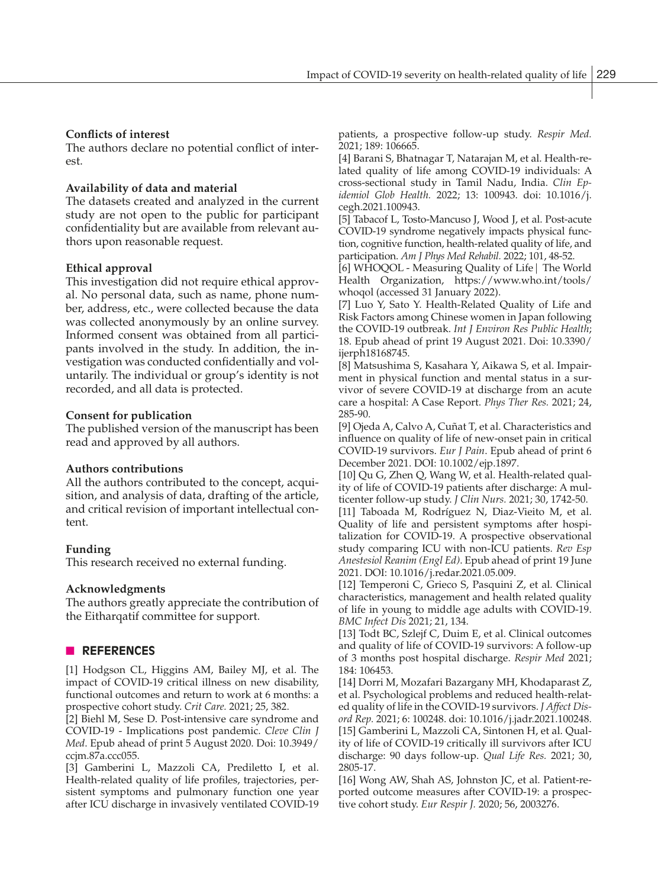## **Conflicts of interest**

The authors declare no potential conflict of interest.

## **Availability of data and material**

The datasets created and analyzed in the current study are not open to the public for participant confidentiality but are available from relevant authors upon reasonable request.

## **Ethical approval**

This investigation did not require ethical approval. No personal data, such as name, phone number, address, etc., were collected because the data was collected anonymously by an online survey. Informed consent was obtained from all participants involved in the study. In addition, the investigation was conducted confidentially and voluntarily. The individual or group's identity is not recorded, and all data is protected.

#### **Consent for publication**

The published version of the manuscript has been read and approved by all authors.

#### **Authors contributions**

All the authors contributed to the concept, acquisition, and analysis of data, drafting of the article, and critical revision of important intellectual content.

#### **Funding**

This research received no external funding.

#### **Acknowledgments**

The authors greatly appreciate the contribution of the Eitharqatif committee for support.

#### **N** REFERENCES

[1] Hodgson CL, Higgins AM, Bailey MJ, et al. The impact of COVID-19 critical illness on new disability, functional outcomes and return to work at 6 months: a prospective cohort study. *Crit Care.* 2021; 25, 382.

[2] Biehl M, Sese D. Post-intensive care syndrome and COVID-19 - Implications post pandemic. *Cleve Clin J Med*. Epub ahead of print 5 August 2020. Doi: 10.3949/ ccjm.87a.ccc055.

[3] Gamberini L, Mazzoli CA, Prediletto I, et al. Health-related quality of life profiles, trajectories, persistent symptoms and pulmonary function one year after ICU discharge in invasively ventilated COVID-19

patients, a prospective follow-up study. *Respir Med.* 2021; 189: 106665.

[4] Barani S, Bhatnagar T, Natarajan M, et al. Health-related quality of life among COVID-19 individuals: A cross-sectional study in Tamil Nadu, India. *Clin Epidemiol Glob Health.* 2022; 13: 100943. doi: 10.1016/j. cegh.2021.100943.

[5] Tabacof L, Tosto-Mancuso J, Wood J, et al. Post-acute COVID-19 syndrome negatively impacts physical function, cognitive function, health-related quality of life, and participation. *Am J Phys Med Rehabil.* 2022; 101, 48-52.

[6] WHOQOL - Measuring Quality of Life| The World Health Organization, https://www.who.int/tools/ whoqol (accessed 31 January 2022).

[7] Luo Y, Sato Y. Health-Related Quality of Life and Risk Factors among Chinese women in Japan following the COVID-19 outbreak. *Int J Environ Res Public Health*; 18. Epub ahead of print 19 August 2021. Doi: 10.3390/ ijerph18168745.

[8] Matsushima S, Kasahara Y, Aikawa S, et al. Impairment in physical function and mental status in a survivor of severe COVID-19 at discharge from an acute care a hospital: A Case Report. *Phys Ther Res.* 2021; 24, 285-90.

[9] Ojeda A, Calvo A, Cuñat T, et al. Characteristics and influence on quality of life of new-onset pain in critical COVID-19 survivors. *Eur J Pain*. Epub ahead of print 6 December 2021. DOI: 10.1002/ejp.1897.

[10] Qu G, Zhen Q, Wang W, et al. Health-related quality of life of COVID-19 patients after discharge: A multicenter follow-up study. *J Clin Nurs.* 2021; 30, 1742-50.

[11] Taboada M, Rodríguez N, Diaz-Vieito M, et al. Quality of life and persistent symptoms after hospitalization for COVID-19. A prospective observational study comparing ICU with non-ICU patients. *Rev Esp Anestesiol Reanim (Engl Ed)*. Epub ahead of print 19 June 2021. DOI: 10.1016/j.redar.2021.05.009.

[12] Temperoni C, Grieco S, Pasquini Z, et al. Clinical characteristics, management and health related quality of life in young to middle age adults with COVID-19. *BMC Infect Dis* 2021; 21, 134.

[13] Todt BC, Szlejf C, Duim E, et al. Clinical outcomes and quality of life of COVID-19 survivors: A follow-up of 3 months post hospital discharge. *Respir Med* 2021; 184: 106453.

[14] Dorri M, Mozafari Bazargany MH, Khodaparast Z, et al. Psychological problems and reduced health-related quality of life in the COVID-19 survivors. *J Affect Disord Rep.* 2021; 6: 100248. doi: 10.1016/j.jadr.2021.100248. [15] Gamberini L, Mazzoli CA, Sintonen H, et al. Quality of life of COVID-19 critically ill survivors after ICU discharge: 90 days follow-up. *Qual Life Res.* 2021; 30, 2805-17.

[16] Wong AW, Shah AS, Johnston JC, et al. Patient-reported outcome measures after COVID-19: a prospective cohort study. *Eur Respir J.* 2020; 56, 2003276.